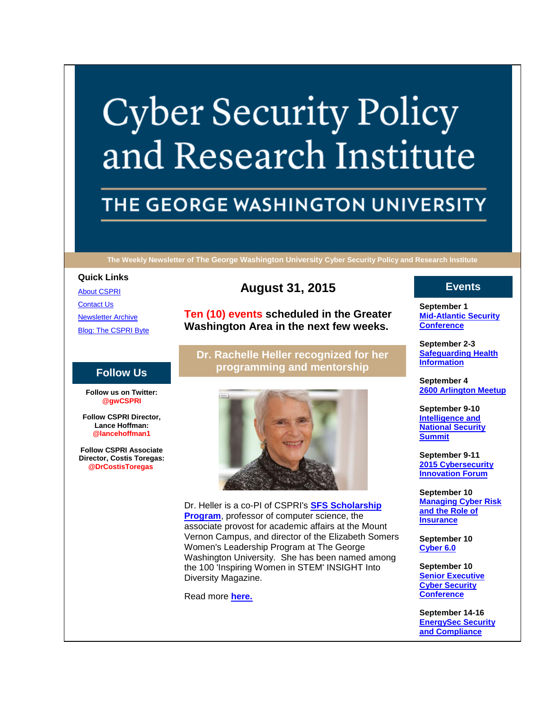# **Cyber Security Policy** and Research Institute

# THE GEORGE WASHINGTON UNIVERSITY

**The Weekly Newsletter of The George Washington University Cyber Security Policy and Research Institute**

#### **Quick Links**

[About CSPRI](http://r20.rs6.net/tn.jsp?f=001EfedpbMQJ1SvqVRO7K8udZEL-B3fO0mwBZk23Q3CvHgmA2JXOvtG-S6muAYNVeI7hevpmj7Srup65SLgP3RC7s9DumiNR0eZc6wWvBnwTrTpWfBXFgsVaVbwmUA9VwQEzMOTcGz_oXA8wIJV5rdlRnWF8Wb6QXNEoZpwO6oG5UFtLYBkjroULWvRrHyiic7G&c=SuwndBnxuG3veqycemUK1S6up7T-HjAlZ8JQjac8bhgP7dekuLTMfA==&ch=FzF9F-ysFfyj1CzB42TuuqXilSnMB2LQjdivEPpS79xf37tdNICweQ==) **[Contact Us](http://r20.rs6.net/tn.jsp?f=001EfedpbMQJ1SvqVRO7K8udZEL-B3fO0mwBZk23Q3CvHgmA2JXOvtG-S6muAYNVeI7sIv5qmrn4WzUTP83w-bu0f8SP4iyEshE7v4i5hc-xYxiD-ufzWkcqG_FmbbRHOkCUo0KsyvTMUngRihUkWpzS8JXGPGyGmtjEtF--NG5JUZiPYpX3wtpBIzRcB7DxnqlSOLULUWVqWM=&c=SuwndBnxuG3veqycemUK1S6up7T-HjAlZ8JQjac8bhgP7dekuLTMfA==&ch=FzF9F-ysFfyj1CzB42TuuqXilSnMB2LQjdivEPpS79xf37tdNICweQ==) [Newsletter Archive](http://r20.rs6.net/tn.jsp?f=001EfedpbMQJ1SvqVRO7K8udZEL-B3fO0mwBZk23Q3CvHgmA2JXOvtG-S6muAYNVeI74oBiHAHgA0B4bm2OQXvRZ_oc7uLbkY2NzA_ezpgKqWWcGzgsJcR5T-5jflBFpOhoGlXRmPrP2rjRoip8oGharGpkhBqUdH4k8CO3c7JxjmRiCu2xGhj6FuABpWqaTBcHIaK02RjVuuM=&c=SuwndBnxuG3veqycemUK1S6up7T-HjAlZ8JQjac8bhgP7dekuLTMfA==&ch=FzF9F-ysFfyj1CzB42TuuqXilSnMB2LQjdivEPpS79xf37tdNICweQ==)** 

[Blog: The CSPRI Byte](http://r20.rs6.net/tn.jsp?f=001EfedpbMQJ1SvqVRO7K8udZEL-B3fO0mwBZk23Q3CvHgmA2JXOvtG-S6muAYNVeI7Te2E3cg9-7mPkvkyGZRXUyHsTPgmOUZ8c_ajEmXNUwNO-dMd6T98bdysP1Gk4AHMmJFP_fe6r9s9vMmyftp3k-BFBjUhCKZ0B_xNyA9Vxw2tHJy_za2-VfSuF1ePsUpL&c=SuwndBnxuG3veqycemUK1S6up7T-HjAlZ8JQjac8bhgP7dekuLTMfA==&ch=FzF9F-ysFfyj1CzB42TuuqXilSnMB2LQjdivEPpS79xf37tdNICweQ==)

## **Follow Us**

**Follow us on Twitter: @gwCSPRI**

**Follow CSPRI Director, Lance Hoffman: @lancehoffman1**

**Follow CSPRI Associate Director, Costis Toregas: @DrCostisToregas**

# **August 31, 2015**

**Ten (10) events scheduled in the Greater Washington Area in the next few weeks.**

**Dr. Rachelle Heller recognized for her programming and mentorship**



Dr. Heller is a co-PI of CSPRI's **[SFS Scholarship](http://r20.rs6.net/tn.jsp?f=001EfedpbMQJ1SvqVRO7K8udZEL-B3fO0mwBZk23Q3CvHgmA2JXOvtG-XZ2uSkvBU--AIqu6BeCoX0DhuGOuplQDixmkf0HWXTEYPP0OGQwmxQ6L-UK87SEgx9UQ8TfMvVkruhgjz0sTWRWZYrRX482ue5N-Lo5XJm4aLbO0tpQUloorCkpmAFB376_DHfqpK16&c=SuwndBnxuG3veqycemUK1S6up7T-HjAlZ8JQjac8bhgP7dekuLTMfA==&ch=FzF9F-ysFfyj1CzB42TuuqXilSnMB2LQjdivEPpS79xf37tdNICweQ==)  [Program](http://r20.rs6.net/tn.jsp?f=001EfedpbMQJ1SvqVRO7K8udZEL-B3fO0mwBZk23Q3CvHgmA2JXOvtG-XZ2uSkvBU--AIqu6BeCoX0DhuGOuplQDixmkf0HWXTEYPP0OGQwmxQ6L-UK87SEgx9UQ8TfMvVkruhgjz0sTWRWZYrRX482ue5N-Lo5XJm4aLbO0tpQUloorCkpmAFB376_DHfqpK16&c=SuwndBnxuG3veqycemUK1S6up7T-HjAlZ8JQjac8bhgP7dekuLTMfA==&ch=FzF9F-ysFfyj1CzB42TuuqXilSnMB2LQjdivEPpS79xf37tdNICweQ==)**, professor of computer science, the associate provost for academic affairs at the Mount Vernon Campus, and director of the Elizabeth Somers Women's Leadership Program at The George Washington University. She has been named among the 100 'Inspiring Women in STEM' INSIGHT Into Diversity Magazine.

Read more **[here.](http://r20.rs6.net/tn.jsp?f=001EfedpbMQJ1SvqVRO7K8udZEL-B3fO0mwBZk23Q3CvHgmA2JXOvtG-bkTPXF-_hcoz0odZdvDHBG6RHO4fi4L_f_YEkm6wVft_FWOz9S3Ir-HHxfHeRBicppzxdQevhbRWp3tAx8YssJToeBj1m-swHtRcB2Y7GpIU6sqLZFupyvmQo_BZqJc-BJiKDEZp7kCGxTQ3qC6QVeLGupZ9ayhqg-nznq4QxZJXVh7JHTCRgwjx9Lg7j1VT6Qn1BoH-MLJNGWagLBYZpRPe8yilh-usA==&c=SuwndBnxuG3veqycemUK1S6up7T-HjAlZ8JQjac8bhgP7dekuLTMfA==&ch=FzF9F-ysFfyj1CzB42TuuqXilSnMB2LQjdivEPpS79xf37tdNICweQ==)**

# **Events**

**September 1 [Mid-Atlantic Security](http://r20.rs6.net/tn.jsp?f=001EfedpbMQJ1SvqVRO7K8udZEL-B3fO0mwBZk23Q3CvHgmA2JXOvtG-bwKC_QYzHTmW3yo51__oKWo4t7psK6Veg5-dNxE-7HZabGUg1_5FJrFJ7nMEETZ8c62pqYubQRfZFkXIhXER-QJDU9cdnCP-olqYAvmS6Tn5jq8CFToccKb3e39jHB5c439c32nXDiOIJNL5deIRGk=&c=SuwndBnxuG3veqycemUK1S6up7T-HjAlZ8JQjac8bhgP7dekuLTMfA==&ch=FzF9F-ysFfyj1CzB42TuuqXilSnMB2LQjdivEPpS79xf37tdNICweQ==)  [Conference](http://r20.rs6.net/tn.jsp?f=001EfedpbMQJ1SvqVRO7K8udZEL-B3fO0mwBZk23Q3CvHgmA2JXOvtG-bwKC_QYzHTmW3yo51__oKWo4t7psK6Veg5-dNxE-7HZabGUg1_5FJrFJ7nMEETZ8c62pqYubQRfZFkXIhXER-QJDU9cdnCP-olqYAvmS6Tn5jq8CFToccKb3e39jHB5c439c32nXDiOIJNL5deIRGk=&c=SuwndBnxuG3veqycemUK1S6up7T-HjAlZ8JQjac8bhgP7dekuLTMfA==&ch=FzF9F-ysFfyj1CzB42TuuqXilSnMB2LQjdivEPpS79xf37tdNICweQ==)**

**September 2-3 [Safeguarding Health](http://r20.rs6.net/tn.jsp?f=001EfedpbMQJ1SvqVRO7K8udZEL-B3fO0mwBZk23Q3CvHgmA2JXOvtG-bwKC_QYzHTmW3yo51__oKWo4t7psK6Veg5-dNxE-7HZabGUg1_5FJrFJ7nMEETZ8c62pqYubQRfZFkXIhXER-QJDU9cdnCP-olqYAvmS6Tn5jq8CFToccKb3e39jHB5c439c32nXDiOIJNL5deIRGk=&c=SuwndBnxuG3veqycemUK1S6up7T-HjAlZ8JQjac8bhgP7dekuLTMfA==&ch=FzF9F-ysFfyj1CzB42TuuqXilSnMB2LQjdivEPpS79xf37tdNICweQ==)  [Information](http://r20.rs6.net/tn.jsp?f=001EfedpbMQJ1SvqVRO7K8udZEL-B3fO0mwBZk23Q3CvHgmA2JXOvtG-bwKC_QYzHTmW3yo51__oKWo4t7psK6Veg5-dNxE-7HZabGUg1_5FJrFJ7nMEETZ8c62pqYubQRfZFkXIhXER-QJDU9cdnCP-olqYAvmS6Tn5jq8CFToccKb3e39jHB5c439c32nXDiOIJNL5deIRGk=&c=SuwndBnxuG3veqycemUK1S6up7T-HjAlZ8JQjac8bhgP7dekuLTMfA==&ch=FzF9F-ysFfyj1CzB42TuuqXilSnMB2LQjdivEPpS79xf37tdNICweQ==)**

**September 4 [2600 Arlington Meetup](http://r20.rs6.net/tn.jsp?f=001EfedpbMQJ1SvqVRO7K8udZEL-B3fO0mwBZk23Q3CvHgmA2JXOvtG-bwKC_QYzHTmW3yo51__oKWo4t7psK6Veg5-dNxE-7HZabGUg1_5FJrFJ7nMEETZ8c62pqYubQRfZFkXIhXER-QJDU9cdnCP-olqYAvmS6Tn5jq8CFToccKb3e39jHB5c439c32nXDiOIJNL5deIRGk=&c=SuwndBnxuG3veqycemUK1S6up7T-HjAlZ8JQjac8bhgP7dekuLTMfA==&ch=FzF9F-ysFfyj1CzB42TuuqXilSnMB2LQjdivEPpS79xf37tdNICweQ==)**

**September 9-10 [Intelligence and](http://r20.rs6.net/tn.jsp?f=001EfedpbMQJ1SvqVRO7K8udZEL-B3fO0mwBZk23Q3CvHgmA2JXOvtG-bwKC_QYzHTmW3yo51__oKWo4t7psK6Veg5-dNxE-7HZabGUg1_5FJrFJ7nMEETZ8c62pqYubQRfZFkXIhXER-QJDU9cdnCP-olqYAvmS6Tn5jq8CFToccKb3e39jHB5c439c32nXDiOIJNL5deIRGk=&c=SuwndBnxuG3veqycemUK1S6up7T-HjAlZ8JQjac8bhgP7dekuLTMfA==&ch=FzF9F-ysFfyj1CzB42TuuqXilSnMB2LQjdivEPpS79xf37tdNICweQ==)  [National Security](http://r20.rs6.net/tn.jsp?f=001EfedpbMQJ1SvqVRO7K8udZEL-B3fO0mwBZk23Q3CvHgmA2JXOvtG-bwKC_QYzHTmW3yo51__oKWo4t7psK6Veg5-dNxE-7HZabGUg1_5FJrFJ7nMEETZ8c62pqYubQRfZFkXIhXER-QJDU9cdnCP-olqYAvmS6Tn5jq8CFToccKb3e39jHB5c439c32nXDiOIJNL5deIRGk=&c=SuwndBnxuG3veqycemUK1S6up7T-HjAlZ8JQjac8bhgP7dekuLTMfA==&ch=FzF9F-ysFfyj1CzB42TuuqXilSnMB2LQjdivEPpS79xf37tdNICweQ==)  [Summit](http://r20.rs6.net/tn.jsp?f=001EfedpbMQJ1SvqVRO7K8udZEL-B3fO0mwBZk23Q3CvHgmA2JXOvtG-bwKC_QYzHTmW3yo51__oKWo4t7psK6Veg5-dNxE-7HZabGUg1_5FJrFJ7nMEETZ8c62pqYubQRfZFkXIhXER-QJDU9cdnCP-olqYAvmS6Tn5jq8CFToccKb3e39jHB5c439c32nXDiOIJNL5deIRGk=&c=SuwndBnxuG3veqycemUK1S6up7T-HjAlZ8JQjac8bhgP7dekuLTMfA==&ch=FzF9F-ysFfyj1CzB42TuuqXilSnMB2LQjdivEPpS79xf37tdNICweQ==)**

**September 9-11 [2015 Cybersecurity](http://r20.rs6.net/tn.jsp?f=001EfedpbMQJ1SvqVRO7K8udZEL-B3fO0mwBZk23Q3CvHgmA2JXOvtG-bwKC_QYzHTmW3yo51__oKWo4t7psK6Veg5-dNxE-7HZabGUg1_5FJrFJ7nMEETZ8c62pqYubQRfZFkXIhXER-QJDU9cdnCP-olqYAvmS6Tn5jq8CFToccKb3e39jHB5c439c32nXDiOIJNL5deIRGk=&c=SuwndBnxuG3veqycemUK1S6up7T-HjAlZ8JQjac8bhgP7dekuLTMfA==&ch=FzF9F-ysFfyj1CzB42TuuqXilSnMB2LQjdivEPpS79xf37tdNICweQ==)  [Innovation Forum](http://r20.rs6.net/tn.jsp?f=001EfedpbMQJ1SvqVRO7K8udZEL-B3fO0mwBZk23Q3CvHgmA2JXOvtG-bwKC_QYzHTmW3yo51__oKWo4t7psK6Veg5-dNxE-7HZabGUg1_5FJrFJ7nMEETZ8c62pqYubQRfZFkXIhXER-QJDU9cdnCP-olqYAvmS6Tn5jq8CFToccKb3e39jHB5c439c32nXDiOIJNL5deIRGk=&c=SuwndBnxuG3veqycemUK1S6up7T-HjAlZ8JQjac8bhgP7dekuLTMfA==&ch=FzF9F-ysFfyj1CzB42TuuqXilSnMB2LQjdivEPpS79xf37tdNICweQ==)**

**September 10 [Managing Cyber Risk](http://r20.rs6.net/tn.jsp?f=001EfedpbMQJ1SvqVRO7K8udZEL-B3fO0mwBZk23Q3CvHgmA2JXOvtG-bwKC_QYzHTmW3yo51__oKWo4t7psK6Veg5-dNxE-7HZabGUg1_5FJrFJ7nMEETZ8c62pqYubQRfZFkXIhXER-QJDU9cdnCP-olqYAvmS6Tn5jq8CFToccKb3e39jHB5c439c32nXDiOIJNL5deIRGk=&c=SuwndBnxuG3veqycemUK1S6up7T-HjAlZ8JQjac8bhgP7dekuLTMfA==&ch=FzF9F-ysFfyj1CzB42TuuqXilSnMB2LQjdivEPpS79xf37tdNICweQ==)  [and the Role of](http://r20.rs6.net/tn.jsp?f=001EfedpbMQJ1SvqVRO7K8udZEL-B3fO0mwBZk23Q3CvHgmA2JXOvtG-bwKC_QYzHTmW3yo51__oKWo4t7psK6Veg5-dNxE-7HZabGUg1_5FJrFJ7nMEETZ8c62pqYubQRfZFkXIhXER-QJDU9cdnCP-olqYAvmS6Tn5jq8CFToccKb3e39jHB5c439c32nXDiOIJNL5deIRGk=&c=SuwndBnxuG3veqycemUK1S6up7T-HjAlZ8JQjac8bhgP7dekuLTMfA==&ch=FzF9F-ysFfyj1CzB42TuuqXilSnMB2LQjdivEPpS79xf37tdNICweQ==)  [Insurance](http://r20.rs6.net/tn.jsp?f=001EfedpbMQJ1SvqVRO7K8udZEL-B3fO0mwBZk23Q3CvHgmA2JXOvtG-bwKC_QYzHTmW3yo51__oKWo4t7psK6Veg5-dNxE-7HZabGUg1_5FJrFJ7nMEETZ8c62pqYubQRfZFkXIhXER-QJDU9cdnCP-olqYAvmS6Tn5jq8CFToccKb3e39jHB5c439c32nXDiOIJNL5deIRGk=&c=SuwndBnxuG3veqycemUK1S6up7T-HjAlZ8JQjac8bhgP7dekuLTMfA==&ch=FzF9F-ysFfyj1CzB42TuuqXilSnMB2LQjdivEPpS79xf37tdNICweQ==)**

**September 10 [Cyber 6.0](http://r20.rs6.net/tn.jsp?f=001EfedpbMQJ1SvqVRO7K8udZEL-B3fO0mwBZk23Q3CvHgmA2JXOvtG-bwKC_QYzHTmW3yo51__oKWo4t7psK6Veg5-dNxE-7HZabGUg1_5FJrFJ7nMEETZ8c62pqYubQRfZFkXIhXER-QJDU9cdnCP-olqYAvmS6Tn5jq8CFToccKb3e39jHB5c439c32nXDiOIJNL5deIRGk=&c=SuwndBnxuG3veqycemUK1S6up7T-HjAlZ8JQjac8bhgP7dekuLTMfA==&ch=FzF9F-ysFfyj1CzB42TuuqXilSnMB2LQjdivEPpS79xf37tdNICweQ==)**

**September 10 Senior Executive [Cyber Security](http://r20.rs6.net/tn.jsp?f=001EfedpbMQJ1SvqVRO7K8udZEL-B3fO0mwBZk23Q3CvHgmA2JXOvtG-bwKC_QYzHTmW3yo51__oKWo4t7psK6Veg5-dNxE-7HZabGUg1_5FJrFJ7nMEETZ8c62pqYubQRfZFkXIhXER-QJDU9cdnCP-olqYAvmS6Tn5jq8CFToccKb3e39jHB5c439c32nXDiOIJNL5deIRGk=&c=SuwndBnxuG3veqycemUK1S6up7T-HjAlZ8JQjac8bhgP7dekuLTMfA==&ch=FzF9F-ysFfyj1CzB42TuuqXilSnMB2LQjdivEPpS79xf37tdNICweQ==)  [Conference](http://r20.rs6.net/tn.jsp?f=001EfedpbMQJ1SvqVRO7K8udZEL-B3fO0mwBZk23Q3CvHgmA2JXOvtG-bwKC_QYzHTmW3yo51__oKWo4t7psK6Veg5-dNxE-7HZabGUg1_5FJrFJ7nMEETZ8c62pqYubQRfZFkXIhXER-QJDU9cdnCP-olqYAvmS6Tn5jq8CFToccKb3e39jHB5c439c32nXDiOIJNL5deIRGk=&c=SuwndBnxuG3veqycemUK1S6up7T-HjAlZ8JQjac8bhgP7dekuLTMfA==&ch=FzF9F-ysFfyj1CzB42TuuqXilSnMB2LQjdivEPpS79xf37tdNICweQ==)**

**September 14-16 [EnergySec Security](http://r20.rs6.net/tn.jsp?f=001EfedpbMQJ1SvqVRO7K8udZEL-B3fO0mwBZk23Q3CvHgmA2JXOvtG-bwKC_QYzHTmW3yo51__oKWo4t7psK6Veg5-dNxE-7HZabGUg1_5FJrFJ7nMEETZ8c62pqYubQRfZFkXIhXER-QJDU9cdnCP-olqYAvmS6Tn5jq8CFToccKb3e39jHB5c439c32nXDiOIJNL5deIRGk=&c=SuwndBnxuG3veqycemUK1S6up7T-HjAlZ8JQjac8bhgP7dekuLTMfA==&ch=FzF9F-ysFfyj1CzB42TuuqXilSnMB2LQjdivEPpS79xf37tdNICweQ==)  [and Compliance](http://r20.rs6.net/tn.jsp?f=001EfedpbMQJ1SvqVRO7K8udZEL-B3fO0mwBZk23Q3CvHgmA2JXOvtG-bwKC_QYzHTmW3yo51__oKWo4t7psK6Veg5-dNxE-7HZabGUg1_5FJrFJ7nMEETZ8c62pqYubQRfZFkXIhXER-QJDU9cdnCP-olqYAvmS6Tn5jq8CFToccKb3e39jHB5c439c32nXDiOIJNL5deIRGk=&c=SuwndBnxuG3veqycemUK1S6up7T-HjAlZ8JQjac8bhgP7dekuLTMfA==&ch=FzF9F-ysFfyj1CzB42TuuqXilSnMB2LQjdivEPpS79xf37tdNICweQ==)**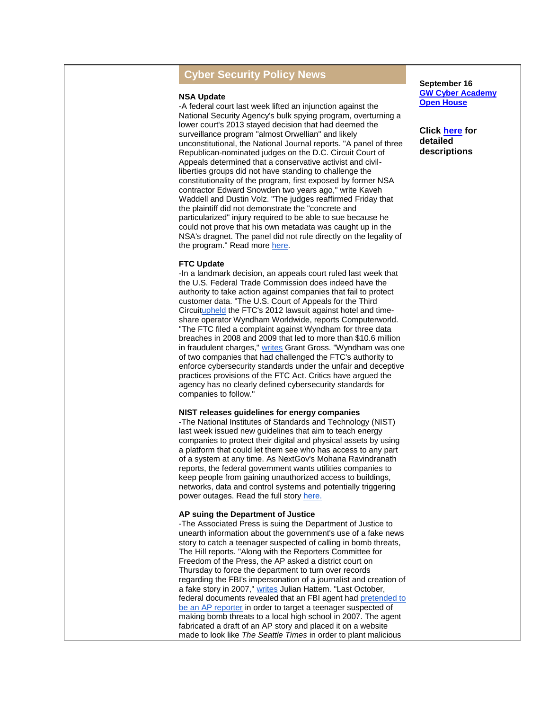## **Cyber Security Policy News**

#### **NSA Update**

-A federal court last week lifted an injunction against the National Security Agency's bulk spying program, overturning a lower court's 2013 stayed decision that had deemed the surveillance program "almost Orwellian" and likely unconstitutional, the National Journal reports. "A panel of three Republican-nominated judges on the D.C. Circuit Court of Appeals determined that a conservative activist and civilliberties groups did not have standing to challenge the constitutionality of the program, first exposed by former NSA contractor Edward Snowden two years ago," write Kaveh Waddell and Dustin Volz. "The judges reaffirmed Friday that the plaintiff did not demonstrate the "concrete and particularized" injury required to be able to sue because he could not prove that his own metadata was caught up in the NSA's dragnet. The panel did not rule directly on the legality of the program." Read more [here.](http://r20.rs6.net/tn.jsp?f=001EfedpbMQJ1SvqVRO7K8udZEL-B3fO0mwBZk23Q3CvHgmA2JXOvtG-bkTPXF-_hcoXE4NNSLkp14r1ZtCoQcW_UBZTAL33R6sYsxukycEqVbPpOEeFTxBayIgYSbjeh7-0zl5kech6qi94SsbVVLLkuVBSTzQ8cb7w-qtFWBq6JhxRUvOTDANtMytLNV7_-KC3CrC_CvwM908GlF-giY6HqWwCmRVZ9sHfwndEgWwJLk8x8YOIpVx1EEMiB3wEUrgs4q6AXn6fBRC6OqmCHkrCSAvUsOAM5eAgrUaebfeUL0=&c=SuwndBnxuG3veqycemUK1S6up7T-HjAlZ8JQjac8bhgP7dekuLTMfA==&ch=FzF9F-ysFfyj1CzB42TuuqXilSnMB2LQjdivEPpS79xf37tdNICweQ==)

#### **FTC Update**

-In a landmark decision, an appeals court ruled last week that the U.S. Federal Trade Commission does indeed have the authority to take action against companies that fail to protect customer data. "The U.S. Court of Appeals for the Third Circui[tupheld](http://r20.rs6.net/tn.jsp?f=001EfedpbMQJ1SvqVRO7K8udZEL-B3fO0mwBZk23Q3CvHgmA2JXOvtG-bkTPXF-_hcoEyqLyyHowwBb6s0WqdFlDh6UU5hti5aA9OPFU-Ns9_JQjS4Up8WoeLlPebwRcQi1dsi4QriGXT-UBR-KrSto5UvE0VwU8QX81X-u468iAOXV2CKixclAcWkx7GSneX6CJKHr9a2qxdrEvEzB9M_buX1KQspNH3zz14mblsLnRAai5dF8jNubyp-TuAgYGjIR07v9JGeCOjJxmBHvtv_E7gKRpDDOZmWi&c=SuwndBnxuG3veqycemUK1S6up7T-HjAlZ8JQjac8bhgP7dekuLTMfA==&ch=FzF9F-ysFfyj1CzB42TuuqXilSnMB2LQjdivEPpS79xf37tdNICweQ==) the FTC's 2012 lawsuit against hotel and timeshare operator Wyndham Worldwide, reports Computerworld. "The FTC filed a complaint against Wyndham for three data breaches in 2008 and 2009 that led to more than \$10.6 million in fraudulent charges," [writes](http://r20.rs6.net/tn.jsp?f=001EfedpbMQJ1SvqVRO7K8udZEL-B3fO0mwBZk23Q3CvHgmA2JXOvtG-bkTPXF-_hcosOzHAYTQLOvbHNJmhk1K63pchHjFPUk-rWgs0526yF7c3K3Qof_p1tHkSS6cpGAAxOH-NJyqwbROababXogRF8hLBlXxMPqFUNCrfKYZ6yOjc9bZ-k_1xkmN_UoGKNXrd-DBPdFAm3T8G_gVuO7gX2AB3RiSVM2Cv0yqnH_BxwxgkMf3qvDj1hnAAUwhOfcU76D0rzuSbnbvOtL8XAITaIxBYe-c8GA1cGzojNJXdEWMGAy-pBic-LBcGWv4T6uoe1Dqjf1rIos=&c=SuwndBnxuG3veqycemUK1S6up7T-HjAlZ8JQjac8bhgP7dekuLTMfA==&ch=FzF9F-ysFfyj1CzB42TuuqXilSnMB2LQjdivEPpS79xf37tdNICweQ==) Grant Gross. "Wyndham was one of two companies that had challenged the FTC's authority to enforce cybersecurity standards under the unfair and deceptive practices provisions of the FTC Act. Critics have argued the agency has no clearly defined cybersecurity standards for companies to follow."

#### **NIST releases guidelines for energy companies**

-The National Institutes of Standards and Technology (NIST) last week issued new guidelines that aim to teach energy companies to protect their digital and physical assets by using a platform that could let them see who has access to any part of a system at any time. As NextGov's Mohana Ravindranath reports, the federal government wants utilities companies to keep people from gaining unauthorized access to buildings, networks, data and control systems and potentially triggering power outages. Read the full story [here.](http://r20.rs6.net/tn.jsp?f=001EfedpbMQJ1SvqVRO7K8udZEL-B3fO0mwBZk23Q3CvHgmA2JXOvtG-bkTPXF-_hco01Dl1vN1fkhwPIaO36W9PZhtejqk_XESsyW0auWjY6W9BVN8CC1C_t6u6Z4N3QHkfujinOGCgE306eFPGIlMe1bHepOyHhlVevc1_pCPI-jLGysGdol68a8m5APJXOO8tOCI_zre8j526adJPNXFgutRASbH7MsP-PnhOBA2i_KF8HKTWCw47lnqVxNreQtugdgvDyscowuqjo9yho4BEJOYlPvIZOYXmM3BYKnIgtkRmvXrGSKGlDBYyL3uT4bvq6Im2R3KRKQhcwFlxjZK5DkkkTOaV65COAVpbk-KRWmUuemBCZ-0iPeC8uU4-mwIAQuFMFXeHq9MG_MGaB_oBuYMKj86FgY7nnq0Da2lszNk_iVdfgBLgk96S4lSoTg14rAe0B8WlZk=&c=SuwndBnxuG3veqycemUK1S6up7T-HjAlZ8JQjac8bhgP7dekuLTMfA==&ch=FzF9F-ysFfyj1CzB42TuuqXilSnMB2LQjdivEPpS79xf37tdNICweQ==)

#### **AP suing the Department of Justice**

-The Associated Press is suing the Department of Justice to unearth information about the government's use of a fake news story to catch a teenager suspected of calling in bomb threats, The Hill reports. "Along with the Reporters Committee for Freedom of the Press, the AP asked a district court on Thursday to force the department to turn over records regarding the FBI's impersonation of a journalist and creation of a fake story in 2007," [writes](http://r20.rs6.net/tn.jsp?f=001EfedpbMQJ1SvqVRO7K8udZEL-B3fO0mwBZk23Q3CvHgmA2JXOvtG-bkTPXF-_hcokEAT24CKCtdedy_3rSL42NsrQIYv9EGeGGbw8wyK_R_nGO-Rn3AXYJtNpLlLd_j-8fS4H4Ej-C4KJC1laWV_POZDzh6QI94gatNO0I9oLICb67wAgcM4hkKusKla0WraniI3AzS5jjwv4HLE8fywdOo30VjCSB3VndqBZw-mRwSHZdes1B8xkaiwH_FbqG1u&c=SuwndBnxuG3veqycemUK1S6up7T-HjAlZ8JQjac8bhgP7dekuLTMfA==&ch=FzF9F-ysFfyj1CzB42TuuqXilSnMB2LQjdivEPpS79xf37tdNICweQ==) Julian Hattem. "Last October, federal documents revealed that an FBI agent had [pretended to](http://r20.rs6.net/tn.jsp?f=001EfedpbMQJ1SvqVRO7K8udZEL-B3fO0mwBZk23Q3CvHgmA2JXOvtG-bkTPXF-_hcoI6SJoPHM8_SxYe4lLU_OPKjOh5UK6QmRAOf5f2gIRZLCc4zubgopb34n1KY3VSkpKw59f5CMXc0FzaDxLIeJwRpfITJNUwDOPleuZvMDYMsVs3B2Oxy4smE2JE2-H9_0kCqX4v9neVUzSQMsSkwyxoWWw-MKrACVv1g_82bzJQ2hxjvlB3iA1fB71m283KAB0___o5CekgM=&c=SuwndBnxuG3veqycemUK1S6up7T-HjAlZ8JQjac8bhgP7dekuLTMfA==&ch=FzF9F-ysFfyj1CzB42TuuqXilSnMB2LQjdivEPpS79xf37tdNICweQ==)  [be an AP reporter](http://r20.rs6.net/tn.jsp?f=001EfedpbMQJ1SvqVRO7K8udZEL-B3fO0mwBZk23Q3CvHgmA2JXOvtG-bkTPXF-_hcoI6SJoPHM8_SxYe4lLU_OPKjOh5UK6QmRAOf5f2gIRZLCc4zubgopb34n1KY3VSkpKw59f5CMXc0FzaDxLIeJwRpfITJNUwDOPleuZvMDYMsVs3B2Oxy4smE2JE2-H9_0kCqX4v9neVUzSQMsSkwyxoWWw-MKrACVv1g_82bzJQ2hxjvlB3iA1fB71m283KAB0___o5CekgM=&c=SuwndBnxuG3veqycemUK1S6up7T-HjAlZ8JQjac8bhgP7dekuLTMfA==&ch=FzF9F-ysFfyj1CzB42TuuqXilSnMB2LQjdivEPpS79xf37tdNICweQ==) in order to target a teenager suspected of making bomb threats to a local high school in 2007. The agent fabricated a draft of an AP story and placed it on a website made to look like *The Seattle Times* in order to plant malicious

**September 16 [GW Cyber Academy](http://r20.rs6.net/tn.jsp?f=001EfedpbMQJ1SvqVRO7K8udZEL-B3fO0mwBZk23Q3CvHgmA2JXOvtG-bwKC_QYzHTmW3yo51__oKWo4t7psK6Veg5-dNxE-7HZabGUg1_5FJrFJ7nMEETZ8c62pqYubQRfZFkXIhXER-QJDU9cdnCP-olqYAvmS6Tn5jq8CFToccKb3e39jHB5c439c32nXDiOIJNL5deIRGk=&c=SuwndBnxuG3veqycemUK1S6up7T-HjAlZ8JQjac8bhgP7dekuLTMfA==&ch=FzF9F-ysFfyj1CzB42TuuqXilSnMB2LQjdivEPpS79xf37tdNICweQ==)  [Open House](http://r20.rs6.net/tn.jsp?f=001EfedpbMQJ1SvqVRO7K8udZEL-B3fO0mwBZk23Q3CvHgmA2JXOvtG-bwKC_QYzHTmW3yo51__oKWo4t7psK6Veg5-dNxE-7HZabGUg1_5FJrFJ7nMEETZ8c62pqYubQRfZFkXIhXER-QJDU9cdnCP-olqYAvmS6Tn5jq8CFToccKb3e39jHB5c439c32nXDiOIJNL5deIRGk=&c=SuwndBnxuG3veqycemUK1S6up7T-HjAlZ8JQjac8bhgP7dekuLTMfA==&ch=FzF9F-ysFfyj1CzB42TuuqXilSnMB2LQjdivEPpS79xf37tdNICweQ==)**

**Click [here](http://r20.rs6.net/tn.jsp?f=001EfedpbMQJ1SvqVRO7K8udZEL-B3fO0mwBZk23Q3CvHgmA2JXOvtG-S6muAYNVeI7bg8PGf33YGIZsOHLM_ivM67gaOmjxEcu6PBPuh6Di5dkbR_kvBUJHATKuVjgc0yYvE1VkTjwj9-DtQR4uqNWiEuQHoRnZcw1M-fLZRexbehKwHU1DOE7dJTlOCO7f_YnR8V8N15Um9ENuQkm60R3kw==&c=SuwndBnxuG3veqycemUK1S6up7T-HjAlZ8JQjac8bhgP7dekuLTMfA==&ch=FzF9F-ysFfyj1CzB42TuuqXilSnMB2LQjdivEPpS79xf37tdNICweQ==) for detailed descriptions**